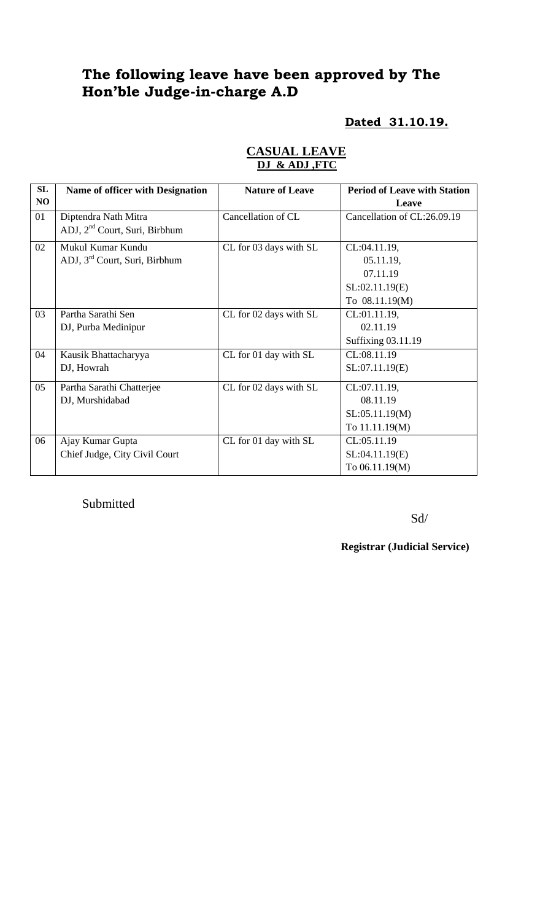# **The following leave have been approved by The Hon'ble Judge-in-charge A.D**

# **Dated 31.10.19.**

| SL | <b>Name of officer with Designation</b>   | <b>Nature of Leave</b> | <b>Period of Leave with Station</b> |
|----|-------------------------------------------|------------------------|-------------------------------------|
| NO |                                           |                        | Leave                               |
| 01 | Diptendra Nath Mitra                      | Cancellation of CL     | Cancellation of CL:26.09.19         |
|    | ADJ, 2 <sup>nd</sup> Court, Suri, Birbhum |                        |                                     |
| 02 | Mukul Kumar Kundu                         | CL for 03 days with SL | CL:04.11.19,                        |
|    | ADJ, 3 <sup>rd</sup> Court, Suri, Birbhum |                        | 05.11.19,                           |
|    |                                           |                        | 07.11.19                            |
|    |                                           |                        | SL:02.11.19(E)                      |
|    |                                           |                        | To 08.11.19(M)                      |
| 03 | Partha Sarathi Sen                        | CL for 02 days with SL | CL:01.11.19,                        |
|    | DJ, Purba Medinipur                       |                        | 02.11.19                            |
|    |                                           |                        | Suffixing 03.11.19                  |
| 04 | Kausik Bhattacharyya                      | CL for 01 day with SL  | CL:08.11.19                         |
|    | DJ, Howrah                                |                        | SL:07.11.19(E)                      |
| 05 | Partha Sarathi Chatterjee                 | CL for 02 days with SL | CL:07.11.19,                        |
|    | DJ, Murshidabad                           |                        | 08.11.19                            |
|    |                                           |                        | SL:05.11.19(M)                      |
|    |                                           |                        | To 11.11.19(M)                      |
| 06 | Ajay Kumar Gupta                          | CL for 01 day with SL  | CL:05.11.19                         |
|    | Chief Judge, City Civil Court             |                        | SL:04.11.19(E)                      |
|    |                                           |                        | To 06.11.19(M)                      |

## **CASUAL LEAVE DJ & ADJ ,FTC**

### Submitted

Sd/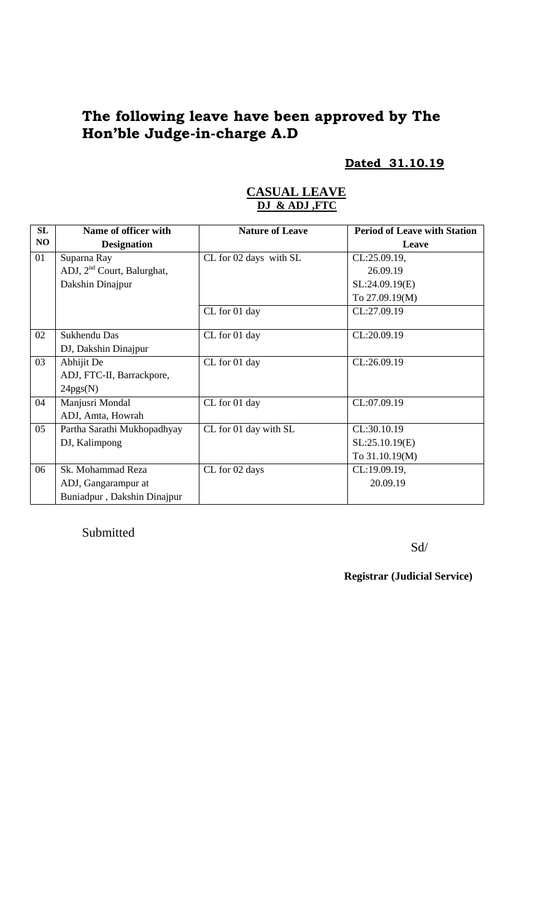# **The following leave have been approved by The Hon'ble Judge-in-charge A.D**

### **Dated 31.10.19**

| SL | Name of officer with         | <b>Nature of Leave</b> | <b>Period of Leave with Station</b> |
|----|------------------------------|------------------------|-------------------------------------|
| NO | <b>Designation</b>           |                        | Leave                               |
| 01 | Suparna Ray                  | CL for 02 days with SL | CL:25.09.19,                        |
|    | ADJ, $2nd$ Court, Balurghat, |                        | 26.09.19                            |
|    | Dakshin Dinajpur             |                        | SL:24.09.19(E)                      |
|    |                              |                        | To 27.09.19(M)                      |
|    |                              | CL for 01 day          | CL:27.09.19                         |
|    |                              |                        |                                     |
| 02 | Sukhendu Das                 | CL for 01 day          | CL:20.09.19                         |
|    | DJ, Dakshin Dinajpur         |                        |                                     |
| 03 | Abhijit De                   | CL for 01 day          | CL:26.09.19                         |
|    | ADJ, FTC-II, Barrackpore,    |                        |                                     |
|    | 24pgs(N)                     |                        |                                     |
| 04 | Manjusri Mondal              | CL for 01 day          | CL:07.09.19                         |
|    | ADJ, Amta, Howrah            |                        |                                     |
| 05 | Partha Sarathi Mukhopadhyay  | CL for 01 day with SL  | CL:30.10.19                         |
|    | DJ, Kalimpong                |                        | SL:25.10.19(E)                      |
|    |                              |                        | To 31.10.19(M)                      |
| 06 | Sk. Mohammad Reza            | CL for 02 days         | CL:19.09.19,                        |
|    | ADJ, Gangarampur at          |                        | 20.09.19                            |
|    | Buniadpur, Dakshin Dinajpur  |                        |                                     |

### **CASUAL LEAVE DJ & ADJ ,FTC**

Submitted

Sd/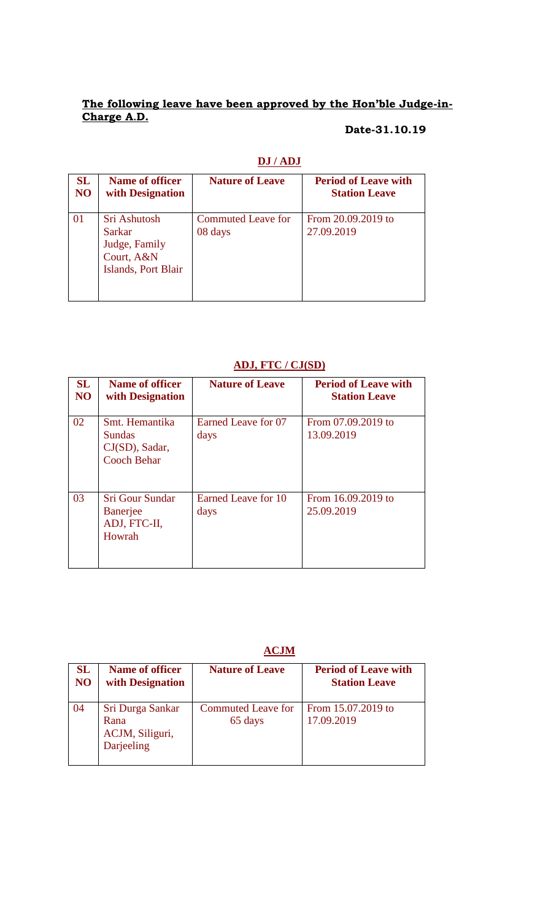#### **The following leave have been approved by the Hon'ble Judge-in-Charge A.D.**

### **Date-31.10.19**

| SL | Name of officer                                                                     | <b>Nature of Leave</b>        | <b>Period of Leave with</b>      |
|----|-------------------------------------------------------------------------------------|-------------------------------|----------------------------------|
| NO | with Designation                                                                    |                               | <b>Station Leave</b>             |
| 01 | Sri Ashutosh<br><b>Sarkar</b><br>Judge, Family<br>Court, A&N<br>Islands, Port Blair | Commuted Leave for<br>08 days | From 20.09.2019 to<br>27.09.2019 |

### **DJ / ADJ**

#### **ADJ, FTC / CJ(SD)**

| <b>SL</b><br>N <sub>O</sub> | <b>Name of officer</b><br>with Designation                              | <b>Nature of Leave</b>      | <b>Period of Leave with</b><br><b>Station Leave</b> |
|-----------------------------|-------------------------------------------------------------------------|-----------------------------|-----------------------------------------------------|
| 02                          | Smt. Hemantika<br><b>Sundas</b><br>CJ(SD), Sadar,<br><b>Cooch Behar</b> | Earned Leave for 07<br>days | From 07.09.2019 to<br>13.09.2019                    |
| 03                          | <b>Sri Gour Sundar</b><br><b>Banerjee</b><br>ADJ, FTC-II,<br>Howrah     | Earned Leave for 10<br>days | From 16.09.2019 to<br>25.09.2019                    |

# **ACJM**

| SL | <b>Name of officer</b>                                    | <b>Nature of Leave</b>               | <b>Period of Leave with</b>      |
|----|-----------------------------------------------------------|--------------------------------------|----------------------------------|
| NO | with Designation                                          |                                      | <b>Station Leave</b>             |
| 04 | Sri Durga Sankar<br>Rana<br>ACJM, Siliguri,<br>Darjeeling | <b>Commuted Leave for</b><br>65 days | From 15.07.2019 to<br>17.09.2019 |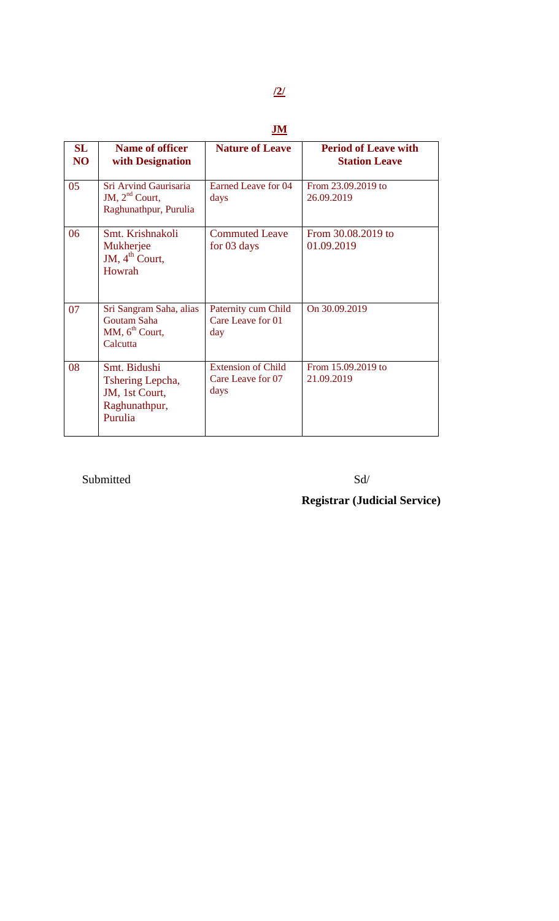# **JM**

| SL<br>N <sub>O</sub> | <b>Name of officer</b><br>with Designation                                       | <b>Nature of Leave</b>                          | <b>Period of Leave with</b><br><b>Station Leave</b> |
|----------------------|----------------------------------------------------------------------------------|-------------------------------------------------|-----------------------------------------------------|
| 05                   | Sri Arvind Gaurisaria<br>JM, $2nd$ Court,<br>Raghunathpur, Purulia               | <b>Earned Leave for 04</b><br>days              | From 23.09.2019 to<br>26.09.2019                    |
| 06                   | Smt. Krishnakoli<br>Mukherjee<br>JM, $4th$ Court,<br>Howrah                      | <b>Commuted Leave</b><br>for 03 days            | From 30.08.2019 to<br>01.09.2019                    |
| 07                   | Sri Sangram Saha, alias<br>Goutam Saha<br>MM, 6 <sup>th</sup> Court,<br>Calcutta | Paternity cum Child<br>Care Leave for 01<br>day | On 30.09.2019                                       |
| 08                   | Smt. Bidushi<br>Tshering Lepcha,<br>JM, 1st Court,<br>Raghunathpur,<br>Purulia   | Extension of Child<br>Care Leave for 07<br>days | From 15.09.2019 to<br>21.09.2019                    |

# Submitted Sd/